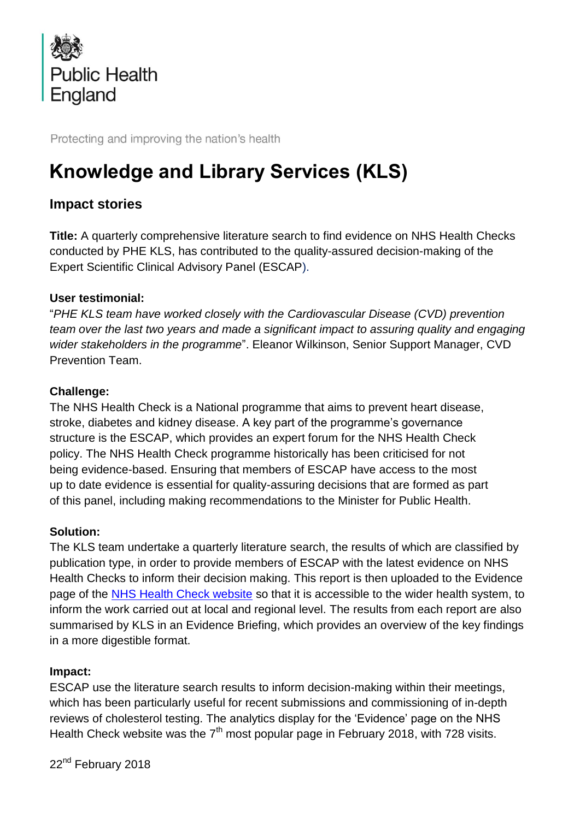

Protecting and improving the nation's health

# **Knowledge and Library Services (KLS)**

# **Impact stories**

**Title:** A quarterly comprehensive literature search to find evidence on NHS Health Checks conducted by PHE KLS, has contributed to the quality-assured decision-making of the Expert Scientific Clinical Advisory Panel (ESCAP).

## **User testimonial:**

"*PHE KLS team have worked closely with the Cardiovascular Disease (CVD) prevention team over the last two years and made a significant impact to assuring quality and engaging wider stakeholders in the programme*". Eleanor Wilkinson, Senior Support Manager, CVD Prevention Team.

## **Challenge:**

The NHS Health Check is a National programme that aims to prevent heart disease, stroke, diabetes and kidney disease. A key part of the programme's governance structure is the ESCAP, which provides an expert forum for the NHS Health Check policy. The NHS Health Check programme historically has been criticised for not being evidence-based. Ensuring that members of ESCAP have access to the most up to date evidence is essential for quality-assuring decisions that are formed as part of this panel, including making recommendations to the Minister for Public Health.

#### **Solution:**

The KLS team undertake a quarterly literature search, the results of which are classified by publication type, in order to provide members of ESCAP with the latest evidence on NHS Health Checks to inform their decision making. This report is then uploaded to the Evidence page of the [NHS Health Check website](https://www.healthcheck.nhs.uk/commissioners_and_providers/evidence/literature_review/) so that it is accessible to the wider health system, to inform the work carried out at local and regional level. The results from each report are also summarised by KLS in an Evidence Briefing, which provides an overview of the key findings in a more digestible format.

#### **Impact:**

ESCAP use the literature search results to inform decision-making within their meetings, which has been particularly useful for recent submissions and commissioning of in-depth reviews of cholesterol testing. The analytics display for the 'Evidence' page on the NHS Health Check website was the  $7<sup>th</sup>$  most popular page in February 2018, with 728 visits.